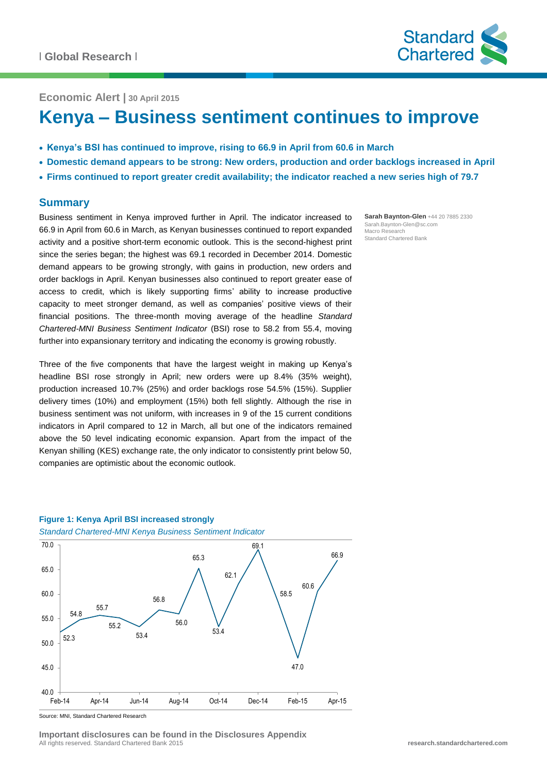

**Economic Alert | 30 April 2015**

# **Kenya – Business sentiment continues to improve**

- **Kenya's BSI has continued to improve, rising to 66.9 in April from 60.6 in March**
- **Domestic demand appears to be strong: New orders, production and order backlogs increased in April**
- **Firms continued to report greater credit availability; the indicator reached a new series high of 79.7**

#### **Summary**

Business sentiment in Kenya improved further in April. The indicator increased to 66.9 in April from 60.6 in March, as Kenyan businesses continued to report expanded activity and a positive short-term economic outlook. This is the second-highest print since the series began; the highest was 69.1 recorded in December 2014. Domestic demand appears to be growing strongly, with gains in production, new orders and order backlogs in April. Kenyan businesses also continued to report greater ease of access to credit, which is likely supporting firms' ability to increase productive capacity to meet stronger demand, as well as companies' positive views of their financial positions. The three-month moving average of the headline *Standard Chartered-MNI Business Sentiment Indicator* (BSI) rose to 58.2 from 55.4, moving further into expansionary territory and indicating the economy is growing robustly.

Three of the five components that have the largest weight in making up Kenya's headline BSI rose strongly in April; new orders were up 8.4% (35% weight), production increased 10.7% (25%) and order backlogs rose 54.5% (15%). Supplier delivery times (10%) and employment (15%) both fell slightly. Although the rise in business sentiment was not uniform, with increases in 9 of the 15 current conditions indicators in April compared to 12 in March, all but one of the indicators remained above the 50 level indicating economic expansion. Apart from the impact of the Kenyan shilling (KES) exchange rate, the only indicator to consistently print below 50, companies are optimistic about the economic outlook.

**Sarah Baynton-Glen** +44 20 7885 2330 Sarah.Baynton-Glen@sc.com Macro Research Standard Chartered Bank

# **Figure 1: Kenya April BSI increased strongly**





Source: MNI, Standard Chartered Research

**Important disclosures can be found in the Disclosures Appendix** All rights reserved. Standard Chartered Bank 2015 **research.standardchartered.com**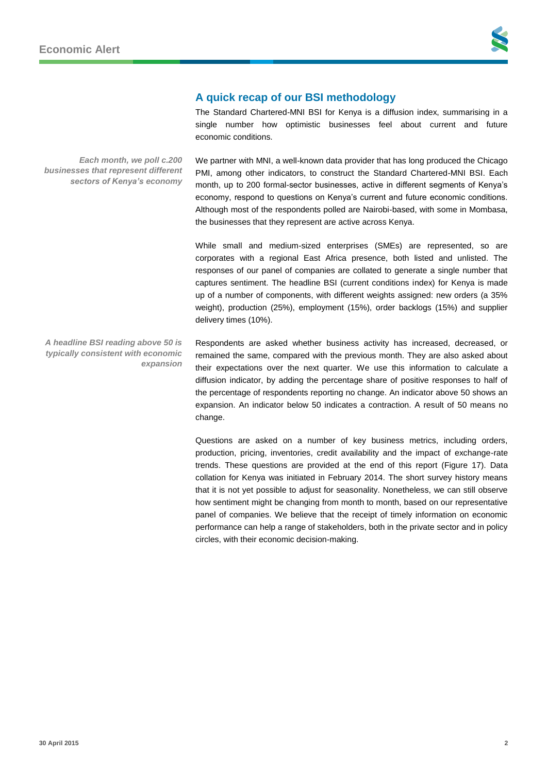

### **A quick recap of our BSI methodology**

The Standard Chartered-MNI BSI for Kenya is a diffusion index, summarising in a single number how optimistic businesses feel about current and future economic conditions.

We partner with MNI, a well-known data provider that has long produced the Chicago PMI, among other indicators, to construct the Standard Chartered-MNI BSI. Each month, up to 200 formal-sector businesses, active in different segments of Kenya's economy, respond to questions on Kenya's current and future economic conditions. Although most of the respondents polled are Nairobi-based, with some in Mombasa, the businesses that they represent are active across Kenya.

While small and medium-sized enterprises (SMEs) are represented, so are corporates with a regional East Africa presence, both listed and unlisted. The responses of our panel of companies are collated to generate a single number that captures sentiment. The headline BSI (current conditions index) for Kenya is made up of a number of components, with different weights assigned: new orders (a 35% weight), production (25%), employment (15%), order backlogs (15%) and supplier delivery times (10%).

Respondents are asked whether business activity has increased, decreased, or remained the same, compared with the previous month. They are also asked about their expectations over the next quarter. We use this information to calculate a diffusion indicator, by adding the percentage share of positive responses to half of the percentage of respondents reporting no change. An indicator above 50 shows an expansion. An indicator below 50 indicates a contraction. A result of 50 means no change. *expansion*

> Questions are asked on a number of key business metrics, including orders, production, pricing, inventories, credit availability and the impact of exchange-rate trends. These questions are provided at the end of this report (Figure 17). Data collation for Kenya was initiated in February 2014. The short survey history means that it is not yet possible to adjust for seasonality. Nonetheless, we can still observe how sentiment might be changing from month to month, based on our representative panel of companies. We believe that the receipt of timely information on economic performance can help a range of stakeholders, both in the private sector and in policy circles, with their economic decision-making.

*Each month, we poll c.200 businesses that represent different sectors of Kenya's economy*

*A headline BSI reading above 50 is typically consistent with economic*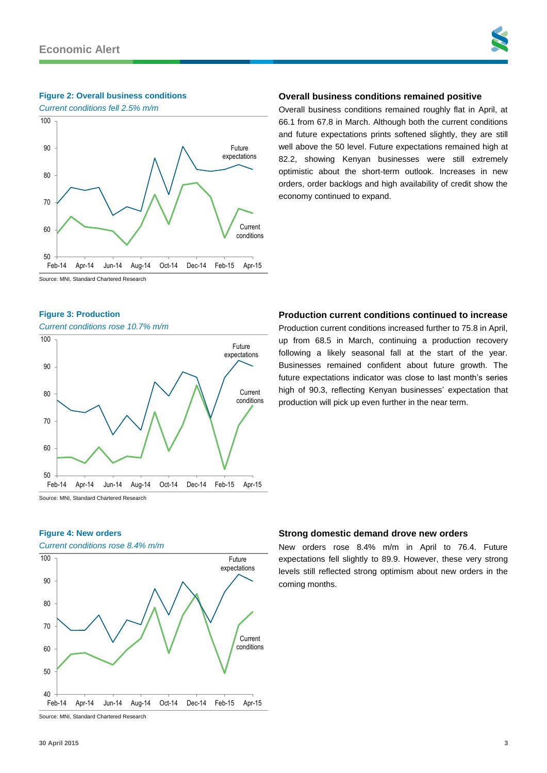#### **Figure 2: Overall business conditions**





# **Overall business conditions remained positive**

Overall business conditions remained roughly flat in April, at 66.1 from 67.8 in March. Although both the current conditions and future expectations prints softened slightly, they are still well above the 50 level. Future expectations remained high at 82.2, showing Kenyan businesses were still extremely optimistic about the short-term outlook. Increases in new orders, order backlogs and high availability of credit show the economy continued to expand.

Source: MNI, Standard Chartered Research

#### **Figure 3: Production**

*Current conditions rose 10.7% m/m*



#### **Production current conditions continued to increase**

Production current conditions increased further to 75.8 in April, up from 68.5 in March, continuing a production recovery following a likely seasonal fall at the start of the year. Businesses remained confident about future growth. The future expectations indicator was close to last month's series high of 90.3, reflecting Kenyan businesses' expectation that production will pick up even further in the near term.

#### **Figure 4: New orders**

*Current conditions rose 8.4% m/m*



#### **Strong domestic demand drove new orders**

New orders rose 8.4% m/m in April to 76.4. Future expectations fell slightly to 89.9. However, these very strong levels still reflected strong optimism about new orders in the coming months.

Source: MNI, Standard Chartered Research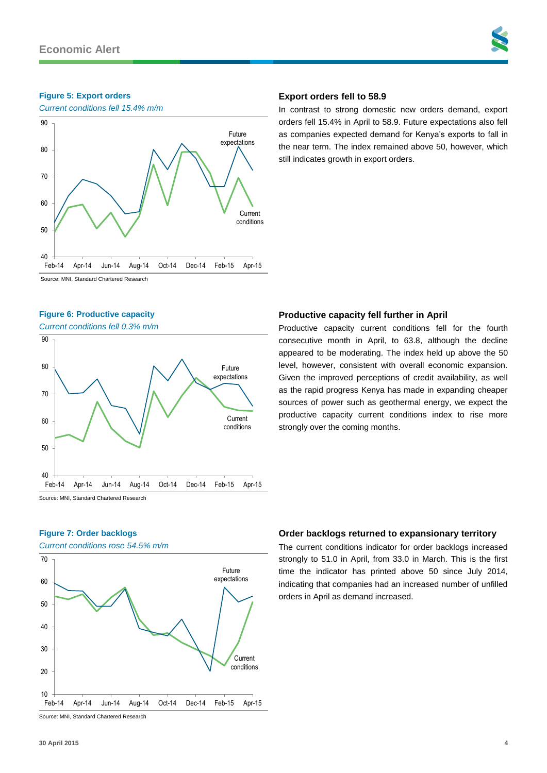#### **Figure 5: Export orders**



### **Export orders fell to 58.9**

In contrast to strong domestic new orders demand, export orders fell 15.4% in April to 58.9. Future expectations also fell as companies expected demand for Kenya's exports to fall in the near term. The index remained above 50, however, which still indicates growth in export orders.

Source: MNI, Standard Chartered Research

#### **Figure 6: Productive capacity**

*Current conditions fell 0.3% m/m*



#### **Productive capacity fell further in April**

Productive capacity current conditions fell for the fourth consecutive month in April, to 63.8, although the decline appeared to be moderating. The index held up above the 50 level, however, consistent with overall economic expansion. Given the improved perceptions of credit availability, as well as the rapid progress Kenya has made in expanding cheaper sources of power such as geothermal energy, we expect the productive capacity current conditions index to rise more strongly over the coming months.

**Figure 7: Order backlogs**

# *Current conditions rose 54.5% m/m* Source: MNI, Standard Chartered Research Current conditions Future expectations 10 20 30 40 50 60 70 Feb-14 Apr-14 Jun-14 Aug-14 Oct-14 Dec-14 Feb-15 Apr-15

#### **Order backlogs returned to expansionary territory**

The current conditions indicator for order backlogs increased strongly to 51.0 in April, from 33.0 in March. This is the first time the indicator has printed above 50 since July 2014, indicating that companies had an increased number of unfilled orders in April as demand increased.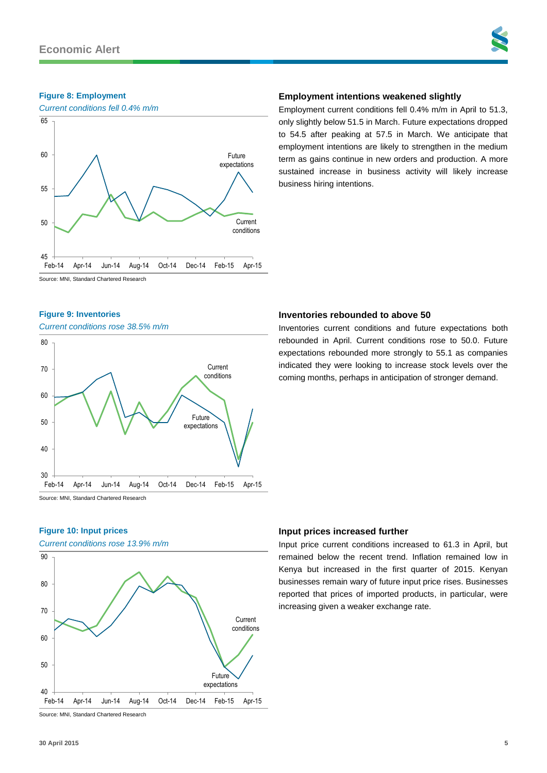#### **Figure 8: Employment**



### **Employment intentions weakened slightly**

Employment current conditions fell 0.4% m/m in April to 51.3, only slightly below 51.5 in March. Future expectations dropped to 54.5 after peaking at 57.5 in March. We anticipate that employment intentions are likely to strengthen in the medium term as gains continue in new orders and production. A more sustained increase in business activity will likely increase business hiring intentions.

Inventories current conditions and future expectations both rebounded in April. Current conditions rose to 50.0. Future expectations rebounded more strongly to 55.1 as companies indicated they were looking to increase stock levels over the

Source: MNI, Standard Chartered Research

#### **Figure 9: Inventories**

*Current conditions rose 38.5% m/m*



# coming months, perhaps in anticipation of stronger demand.

#### **Figure 10: Input prices**

*Current conditions rose 13.9% m/m*



Source: MNI, Standard Chartered Research

#### **Input prices increased further**

**Inventories rebounded to above 50**

Input price current conditions increased to 61.3 in April, but remained below the recent trend. Inflation remained low in Kenya but increased in the first quarter of 2015. Kenyan businesses remain wary of future input price rises. Businesses reported that prices of imported products, in particular, were increasing given a weaker exchange rate.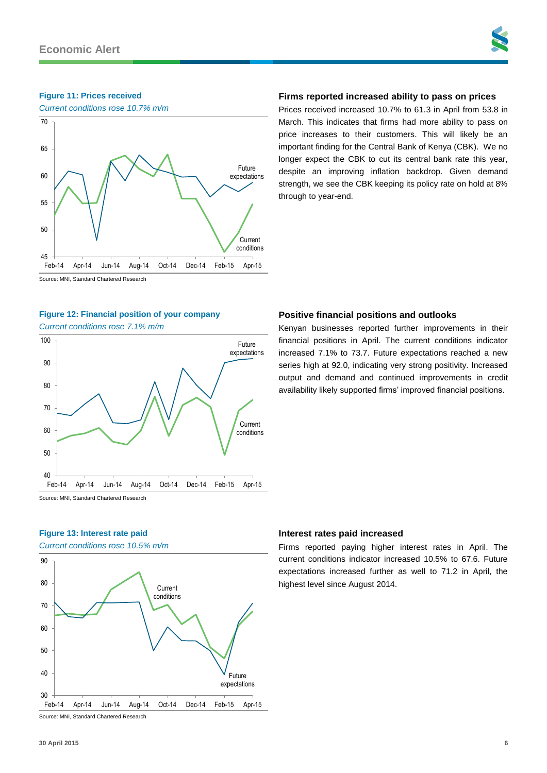#### **Figure 11: Prices received**

*Current conditions rose 10.7% m/m*



#### **Firms reported increased ability to pass on prices**

Prices received increased 10.7% to 61.3 in April from 53.8 in March. This indicates that firms had more ability to pass on price increases to their customers. This will likely be an important finding for the Central Bank of Kenya (CBK). We no longer expect the CBK to cut its central bank rate this year, despite an improving inflation backdrop. Given demand strength, we see the CBK keeping its policy rate on hold at 8% through to year-end.

Source: MNI, Standard Chartered Research

#### **Figure 12: Financial position of your company**

*Current conditions rose 7.1% m/m*



#### Source: MNI, Standard Chartered Research

#### **Figure 13: Interest rate paid**

*Current conditions rose 10.5% m/m*



#### Source: MNI, Standard Chartered Research

#### **Positive financial positions and outlooks**

Kenyan businesses reported further improvements in their financial positions in April. The current conditions indicator increased 7.1% to 73.7. Future expectations reached a new series high at 92.0, indicating very strong positivity. Increased output and demand and continued improvements in credit availability likely supported firms' improved financial positions.

#### **Interest rates paid increased**

Firms reported paying higher interest rates in April. The current conditions indicator increased 10.5% to 67.6. Future expectations increased further as well to 71.2 in April, the highest level since August 2014.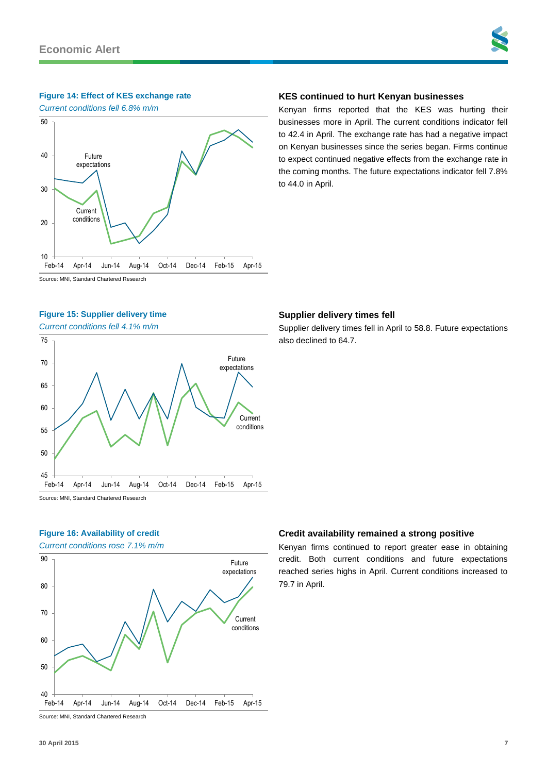#### **Figure 14: Effect of KES exchange rate**

*Current conditions fell 6.8% m/m*



# **KES continued to hurt Kenyan businesses**

Kenyan firms reported that the KES was hurting their businesses more in April. The current conditions indicator fell to 42.4 in April. The exchange rate has had a negative impact on Kenyan businesses since the series began. Firms continue to expect continued negative effects from the exchange rate in the coming months. The future expectations indicator fell 7.8% to 44.0 in April.

Source: MNI, Standard Chartered Research

### **Figure 15: Supplier delivery time**

*Current conditions fell 4.1% m/m*



# **Supplier delivery times fell**

Supplier delivery times fell in April to 58.8. Future expectations also declined to 64.7.

# **Figure 16: Availability of credit**

*Current conditions rose 7.1% m/m*



#### **Credit availability remained a strong positive**

Kenyan firms continued to report greater ease in obtaining credit. Both current conditions and future expectations reached series highs in April. Current conditions increased to 79.7 in April.

Source: MNI, Standard Chartered Research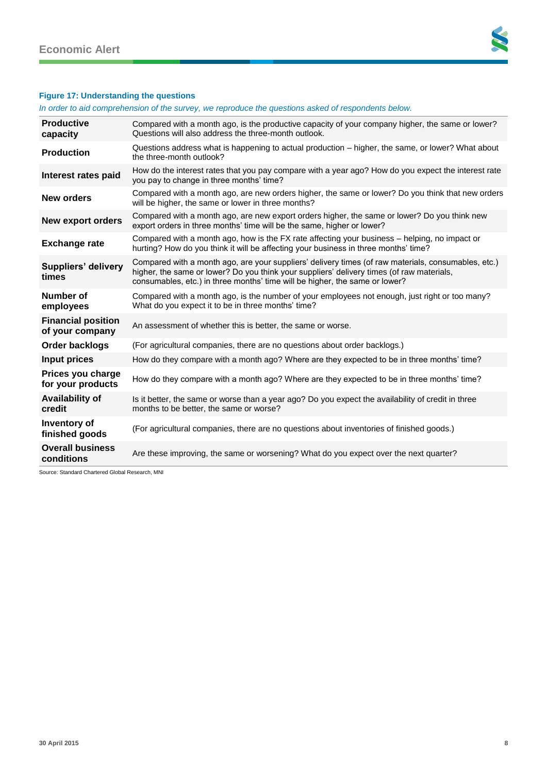

# **Figure 17: Understanding the questions**

*In order to aid comprehension of the survey, we reproduce the questions asked of respondents below.*

| <b>Productive</b><br>capacity                | Compared with a month ago, is the productive capacity of your company higher, the same or lower?<br>Questions will also address the three-month outlook.                                                                                                                        |
|----------------------------------------------|---------------------------------------------------------------------------------------------------------------------------------------------------------------------------------------------------------------------------------------------------------------------------------|
| <b>Production</b>                            | Questions address what is happening to actual production – higher, the same, or lower? What about<br>the three-month outlook?                                                                                                                                                   |
| Interest rates paid                          | How do the interest rates that you pay compare with a year ago? How do you expect the interest rate<br>you pay to change in three months' time?                                                                                                                                 |
| New orders                                   | Compared with a month ago, are new orders higher, the same or lower? Do you think that new orders<br>will be higher, the same or lower in three months?                                                                                                                         |
| <b>New export orders</b>                     | Compared with a month ago, are new export orders higher, the same or lower? Do you think new<br>export orders in three months' time will be the same, higher or lower?                                                                                                          |
| <b>Exchange rate</b>                         | Compared with a month ago, how is the FX rate affecting your business – helping, no impact or<br>hurting? How do you think it will be affecting your business in three months' time?                                                                                            |
| <b>Suppliers' delivery</b><br>times          | Compared with a month ago, are your suppliers' delivery times (of raw materials, consumables, etc.)<br>higher, the same or lower? Do you think your suppliers' delivery times (of raw materials,<br>consumables, etc.) in three months' time will be higher, the same or lower? |
| Number of<br>employees                       | Compared with a month ago, is the number of your employees not enough, just right or too many?<br>What do you expect it to be in three months' time?                                                                                                                            |
| <b>Financial position</b><br>of your company | An assessment of whether this is better, the same or worse.                                                                                                                                                                                                                     |
| Order backlogs                               | (For agricultural companies, there are no questions about order backlogs.)                                                                                                                                                                                                      |
| Input prices                                 | How do they compare with a month ago? Where are they expected to be in three months' time?                                                                                                                                                                                      |
| Prices you charge<br>for your products       | How do they compare with a month ago? Where are they expected to be in three months' time?                                                                                                                                                                                      |
| <b>Availability of</b><br>credit             | Is it better, the same or worse than a year ago? Do you expect the availability of credit in three<br>months to be better, the same or worse?                                                                                                                                   |
| Inventory of<br>finished goods               | (For agricultural companies, there are no questions about inventories of finished goods.)                                                                                                                                                                                       |
| <b>Overall business</b><br>conditions        | Are these improving, the same or worsening? What do you expect over the next quarter?                                                                                                                                                                                           |

Source: Standard Chartered Global Research, MNI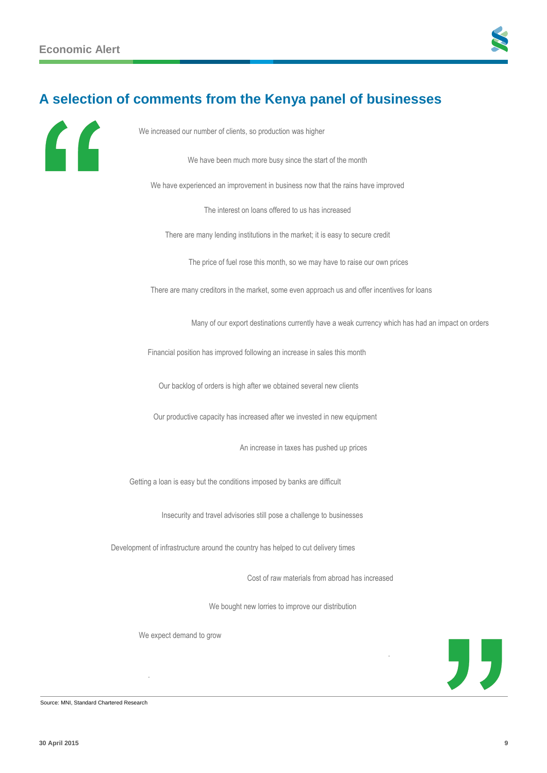

# **A selection of comments from the Kenya panel of businesses**



| We increased our number of clients, so production was higher                                     |
|--------------------------------------------------------------------------------------------------|
| We have been much more busy since the start of the month                                         |
| We have experienced an improvement in business now that the rains have improved                  |
| The interest on loans offered to us has increased                                                |
| There are many lending institutions in the market; it is easy to secure credit                   |
| The price of fuel rose this month, so we may have to raise our own prices                        |
| There are many creditors in the market, some even approach us and offer incentives for loans     |
| Many of our export destinations currently have a weak currency which has had an impact on orders |
| Financial position has improved following an increase in sales this month                        |
| Our backlog of orders is high after we obtained several new clients                              |
| Our productive capacity has increased after we invested in new equipment                         |
| An increase in taxes has pushed up prices                                                        |
| Getting a loan is easy but the conditions imposed by banks are difficult                         |
| Insecurity and travel advisories still pose a challenge to businesses                            |
| Development of infrastructure around the country has helped to cut delivery times                |
| Cost of raw materials from abroad has increased                                                  |
| We bought new lorries to improve our distribution                                                |
| We expect demand to grow                                                                         |
| "                                                                                                |
|                                                                                                  |